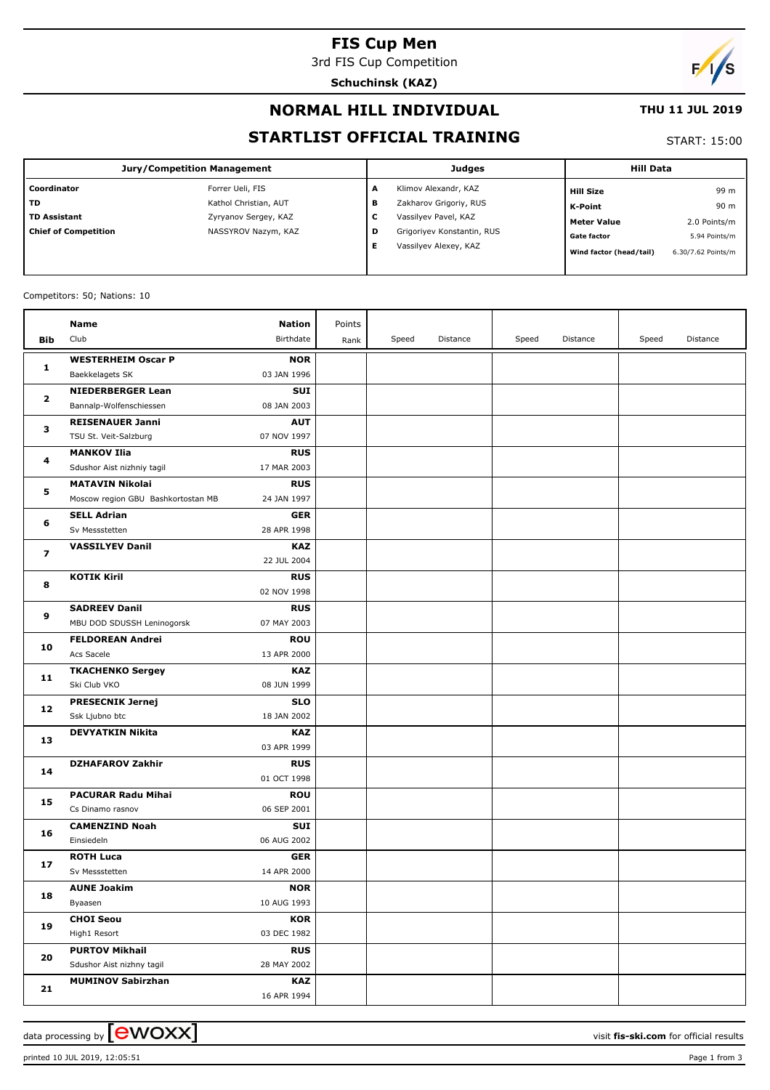## **FIS Cup Men**

3rd FIS Cup Competition

**Schuchinsk (KAZ)**

# $\sqrt{2}$

## **NORMAL HILL INDIVIDUAL**

#### **THU 11 JUL 2019**

## **STARTLIST OFFICIAL TRAINING**

#### START: 15:00

| <b>Jury/Competition Management</b> |                       |        | Judges                     | <b>Hill Data</b>        |                    |  |
|------------------------------------|-----------------------|--------|----------------------------|-------------------------|--------------------|--|
| Coordinator                        | Forrer Ueli, FIS      | А      | Klimov Alexandr, KAZ       | <b>Hill Size</b>        | 99 m               |  |
| <b>TD</b>                          | Kathol Christian, AUT | в      | Zakharov Grigoriy, RUS     | K-Point                 | 90 m               |  |
| <b>TD Assistant</b>                | Zyryanov Sergey, KAZ  | ∽<br>◡ | Vassilyev Pavel, KAZ       | <b>Meter Value</b>      | 2.0 Points/m       |  |
| <b>Chief of Competition</b>        | NASSYROV Nazym, KAZ   | D      | Grigoriyev Konstantin, RUS | <b>Gate factor</b>      | 5.94 Points/m      |  |
|                                    |                       |        | Vassilyev Alexey, KAZ      | Wind factor (head/tail) | 6.30/7.62 Points/m |  |

#### Competitors: 50; Nations: 10

|                   | Name                               | <b>Nation</b> | Points |       |          |       |          |       |          |
|-------------------|------------------------------------|---------------|--------|-------|----------|-------|----------|-------|----------|
| Bib               | Club                               | Birthdate     | Rank   | Speed | Distance | Speed | Distance | Speed | Distance |
|                   | <b>WESTERHEIM Oscar P</b>          | <b>NOR</b>    |        |       |          |       |          |       |          |
| 1                 | Baekkelagets SK                    | 03 JAN 1996   |        |       |          |       |          |       |          |
| $\mathbf{2}$<br>з | <b>NIEDERBERGER Lean</b>           | <b>SUI</b>    |        |       |          |       |          |       |          |
|                   | Bannalp-Wolfenschiessen            | 08 JAN 2003   |        |       |          |       |          |       |          |
|                   | <b>REISENAUER Janni</b>            | <b>AUT</b>    |        |       |          |       |          |       |          |
|                   | TSU St. Veit-Salzburg              | 07 NOV 1997   |        |       |          |       |          |       |          |
| 4                 | <b>MANKOV Ilia</b>                 | <b>RUS</b>    |        |       |          |       |          |       |          |
|                   | Sdushor Aist nizhniy tagil         | 17 MAR 2003   |        |       |          |       |          |       |          |
|                   | <b>MATAVIN Nikolai</b>             | <b>RUS</b>    |        |       |          |       |          |       |          |
| 5                 | Moscow region GBU Bashkortostan MB | 24 JAN 1997   |        |       |          |       |          |       |          |
|                   | <b>SELL Adrian</b>                 | <b>GER</b>    |        |       |          |       |          |       |          |
| 6                 | Sv Messstetten                     | 28 APR 1998   |        |       |          |       |          |       |          |
|                   | <b>VASSILYEV Danil</b>             | <b>KAZ</b>    |        |       |          |       |          |       |          |
| 7                 |                                    | 22 JUL 2004   |        |       |          |       |          |       |          |
|                   | <b>KOTIK Kiril</b>                 | <b>RUS</b>    |        |       |          |       |          |       |          |
| 8                 |                                    | 02 NOV 1998   |        |       |          |       |          |       |          |
| 9                 | <b>SADREEV Danil</b>               | <b>RUS</b>    |        |       |          |       |          |       |          |
|                   | MBU DOD SDUSSH Leninogorsk         | 07 MAY 2003   |        |       |          |       |          |       |          |
| 10                | <b>FELDOREAN Andrei</b>            | <b>ROU</b>    |        |       |          |       |          |       |          |
|                   | Acs Sacele                         | 13 APR 2000   |        |       |          |       |          |       |          |
|                   | <b>TKACHENKO Sergey</b>            | KAZ           |        |       |          |       |          |       |          |
| 11                | Ski Club VKO                       | 08 JUN 1999   |        |       |          |       |          |       |          |
| 12                | <b>PRESECNIK Jernej</b>            | <b>SLO</b>    |        |       |          |       |          |       |          |
|                   | Ssk Ljubno btc                     | 18 JAN 2002   |        |       |          |       |          |       |          |
| 13                | <b>DEVYATKIN Nikita</b>            | <b>KAZ</b>    |        |       |          |       |          |       |          |
|                   |                                    | 03 APR 1999   |        |       |          |       |          |       |          |
| 14                | <b>DZHAFAROV Zakhir</b>            | <b>RUS</b>    |        |       |          |       |          |       |          |
|                   |                                    | 01 OCT 1998   |        |       |          |       |          |       |          |
| 15                | <b>PACURAR Radu Mihai</b>          | <b>ROU</b>    |        |       |          |       |          |       |          |
|                   | Cs Dinamo rasnov                   | 06 SEP 2001   |        |       |          |       |          |       |          |
| 16                | <b>CAMENZIND Noah</b>              | <b>SUI</b>    |        |       |          |       |          |       |          |
|                   | Einsiedeln                         | 06 AUG 2002   |        |       |          |       |          |       |          |
| 17                | <b>ROTH Luca</b>                   | <b>GER</b>    |        |       |          |       |          |       |          |
|                   | Sv Messstetten                     | 14 APR 2000   |        |       |          |       |          |       |          |
| 18                | <b>AUNE Joakim</b>                 | <b>NOR</b>    |        |       |          |       |          |       |          |
|                   | Byaasen                            | 10 AUG 1993   |        |       |          |       |          |       |          |
| 19                | <b>CHOI Seou</b>                   | <b>KOR</b>    |        |       |          |       |          |       |          |
|                   | High1 Resort                       | 03 DEC 1982   |        |       |          |       |          |       |          |
| 20                | <b>PURTOV Mikhail</b>              | <b>RUS</b>    |        |       |          |       |          |       |          |
|                   | Sdushor Aist nizhny tagil          | 28 MAY 2002   |        |       |          |       |          |       |          |
| 21                | <b>MUMINOV Sabirzhan</b>           | KAZ           |        |       |          |       |          |       |          |
|                   |                                    | 16 APR 1994   |        |       |          |       |          |       |          |

data processing by **CWOXX**  $\blacksquare$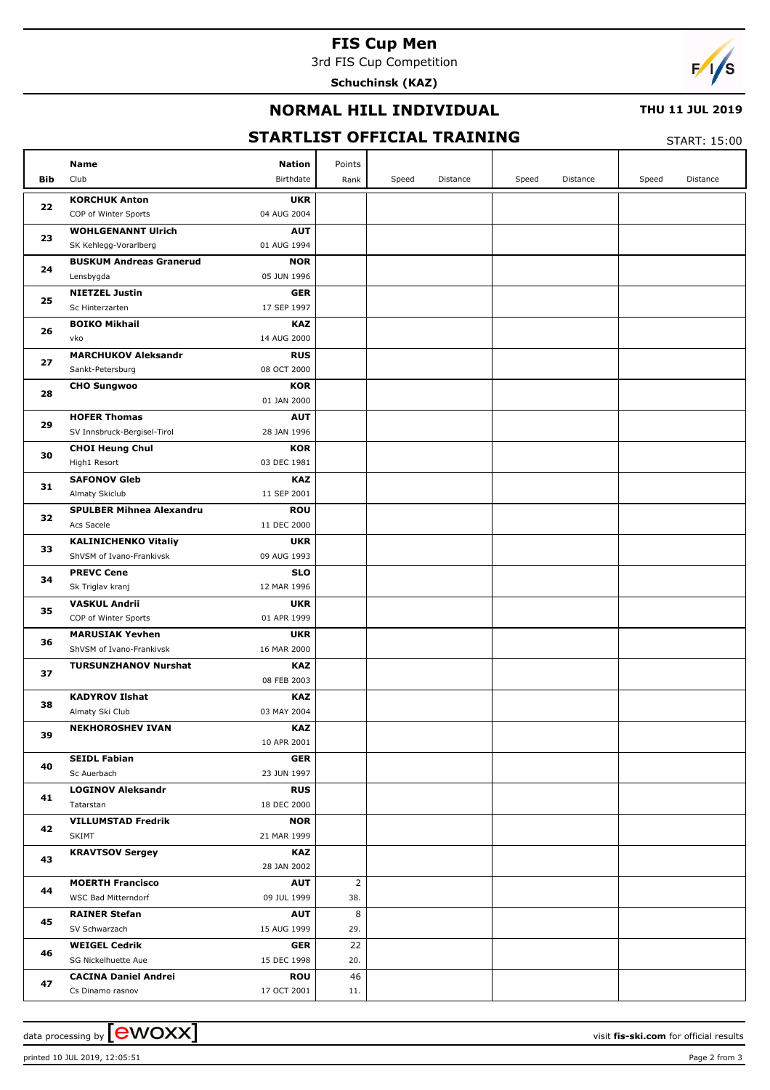# **FIS Cup Men**

3rd FIS Cup Competition

**Schuchinsk (KAZ)**



## **NORMAL HILL INDIVIDUAL**

#### **THU 11 JUL 2019**

# **STARTLIST OFFICIAL TRAINING**

START: 15:00

|     | Name<br><b>Nation</b>                                    | Points         |                   |                   |                   |
|-----|----------------------------------------------------------|----------------|-------------------|-------------------|-------------------|
| Bib | Club<br>Birthdate                                        | Rank           | Speed<br>Distance | Speed<br>Distance | Distance<br>Speed |
|     | <b>KORCHUK Anton</b><br><b>UKR</b>                       |                |                   |                   |                   |
| 22  | 04 AUG 2004<br>COP of Winter Sports                      |                |                   |                   |                   |
| 23  | <b>WOHLGENANNT Ulrich</b><br><b>AUT</b>                  |                |                   |                   |                   |
|     | SK Kehlegg-Vorarlberg<br>01 AUG 1994                     |                |                   |                   |                   |
| 24  | <b>BUSKUM Andreas Granerud</b><br><b>NOR</b>             |                |                   |                   |                   |
|     | Lensbygda<br>05 JUN 1996                                 |                |                   |                   |                   |
| 25  | <b>NIETZEL Justin</b><br><b>GER</b>                      |                |                   |                   |                   |
|     | 17 SEP 1997<br>Sc Hinterzarten                           |                |                   |                   |                   |
| 26  | <b>KAZ</b><br><b>BOIKO Mikhail</b>                       |                |                   |                   |                   |
|     | vko<br>14 AUG 2000                                       |                |                   |                   |                   |
| 27  | <b>MARCHUKOV Aleksandr</b><br><b>RUS</b>                 |                |                   |                   |                   |
|     | 08 OCT 2000<br>Sankt-Petersburg                          |                |                   |                   |                   |
| 28  | <b>KOR</b><br><b>CHO Sungwoo</b><br>01 JAN 2000          |                |                   |                   |                   |
|     | <b>HOFER Thomas</b><br><b>AUT</b>                        |                |                   |                   |                   |
| 29  | SV Innsbruck-Bergisel-Tirol<br>28 JAN 1996               |                |                   |                   |                   |
|     | <b>CHOI Heung Chul</b><br><b>KOR</b>                     |                |                   |                   |                   |
| 30  | 03 DEC 1981<br>High1 Resort                              |                |                   |                   |                   |
|     | <b>SAFONOV Gleb</b><br><b>KAZ</b>                        |                |                   |                   |                   |
| 31  | Almaty Skiclub<br>11 SEP 2001                            |                |                   |                   |                   |
|     | <b>SPULBER Mihnea Alexandru</b><br><b>ROU</b>            |                |                   |                   |                   |
| 32  | Acs Sacele<br>11 DEC 2000                                |                |                   |                   |                   |
|     | <b>KALINICHENKO Vitaliy</b><br><b>UKR</b>                |                |                   |                   |                   |
| 33  | 09 AUG 1993<br>ShVSM of Ivano-Frankivsk                  |                |                   |                   |                   |
| 34  | <b>PREVC Cene</b><br><b>SLO</b>                          |                |                   |                   |                   |
|     | Sk Triglav kranj<br>12 MAR 1996                          |                |                   |                   |                   |
| 35  | <b>VASKUL Andrii</b><br><b>UKR</b>                       |                |                   |                   |                   |
|     | COP of Winter Sports<br>01 APR 1999                      |                |                   |                   |                   |
| 36  | <b>UKR</b><br><b>MARUSIAK Yevhen</b>                     |                |                   |                   |                   |
|     | ShVSM of Ivano-Frankivsk<br>16 MAR 2000                  |                |                   |                   |                   |
| 37  | <b>KAZ</b><br><b>TURSUNZHANOV Nurshat</b><br>08 FEB 2003 |                |                   |                   |                   |
|     | <b>KADYROV Ilshat</b><br><b>KAZ</b>                      |                |                   |                   |                   |
| 38  | Almaty Ski Club<br>03 MAY 2004                           |                |                   |                   |                   |
|     | <b>NEKHOROSHEV IVAN</b><br><b>KAZ</b>                    |                |                   |                   |                   |
| 39  | 10 APR 2001                                              |                |                   |                   |                   |
|     | <b>SEIDL Fabian</b><br><b>GER</b>                        |                |                   |                   |                   |
| 40  | Sc Auerbach<br>23 JUN 1997                               |                |                   |                   |                   |
| 41  | <b>LOGINOV Aleksandr</b><br><b>RUS</b>                   |                |                   |                   |                   |
|     | Tatarstan<br>18 DEC 2000                                 |                |                   |                   |                   |
| 42  | <b>VILLUMSTAD Fredrik</b><br><b>NOR</b>                  |                |                   |                   |                   |
|     | SKIMT<br>21 MAR 1999                                     |                |                   |                   |                   |
| 43  | KAZ<br><b>KRAVTSOV Sergey</b>                            |                |                   |                   |                   |
|     | 28 JAN 2002                                              |                |                   |                   |                   |
| 44  | <b>MOERTH Francisco</b><br><b>AUT</b>                    | $\overline{2}$ |                   |                   |                   |
|     | WSC Bad Mitterndorf<br>09 JUL 1999                       | 38.            |                   |                   |                   |
| 45  | <b>RAINER Stefan</b><br><b>AUT</b>                       | 8              |                   |                   |                   |
|     | SV Schwarzach<br>15 AUG 1999<br><b>WEIGEL Cedrik</b>     | 29.<br>22      |                   |                   |                   |
| 46  | <b>GER</b><br>SG Nickelhuette Aue<br>15 DEC 1998         | 20.            |                   |                   |                   |
|     | <b>CACINA Daniel Andrei</b><br><b>ROU</b>                | 46             |                   |                   |                   |
| 47  | 17 OCT 2001<br>Cs Dinamo rasnov                          | 11.            |                   |                   |                   |
|     |                                                          |                |                   |                   |                   |

printed 10 JUL 2019, 12:05:51 Page 2 from 3

data processing by **CWOXX**  $\blacksquare$